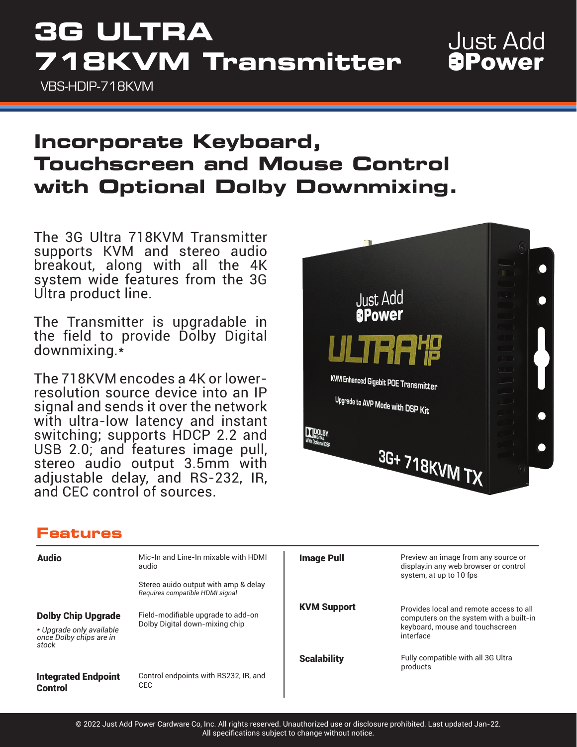## **3G ULTRA 718KVM Transmitter**

VBS-HDIP-718KVM

### **Just Add** *<u>aPower</u>*

## **Incorporate Keyboard, Touchscreen and Mouse Control with Optional Dolby Downmixing.**

The 3G Ultra 718KVM Transmitter supports KVM and stereo audio breakout, along with all the 4K system wide features from the 3G Ultra product line.

The Transmitter is upgradable in the field to provide Dolby Digital downmixing.\*

The 718KVM encodes a 4K or lowerresolution source device into an IP signal and sends it over the network with ultra-low latency and instant switching; supports HDCP 2.2 and USB 2.0; and features image pull, stereo audio output 3.5mm with adjustable delay, and RS-232, IR, and CEC control of sources.



### **Features**

| <b>Audio</b>                                                                              | Mic-In and Line-In mixable with HDMI<br>audio<br>Stereo auido output with amp & delay<br>Requires compatible HDMI signal | <b>Image Pull</b>  | Preview an image from any source or<br>display, in any web browser or control<br>system, at up to 10 fps                           |
|-------------------------------------------------------------------------------------------|--------------------------------------------------------------------------------------------------------------------------|--------------------|------------------------------------------------------------------------------------------------------------------------------------|
| <b>Dolby Chip Upgrade</b><br>* Upgrade only available<br>once Dolby chips are in<br>stock | Field-modifiable upgrade to add-on<br>Dolby Digital down-mixing chip                                                     | <b>KVM Support</b> | Provides local and remote access to all<br>computers on the system with a built-in<br>keyboard, mouse and touchscreen<br>interface |
| <b>Integrated Endpoint</b>                                                                | Control endpoints with RS232, IR, and                                                                                    | <b>Scalability</b> | Fully compatible with all 3G Ultra<br>products                                                                                     |
| <b>Control</b>                                                                            | CEC                                                                                                                      |                    |                                                                                                                                    |